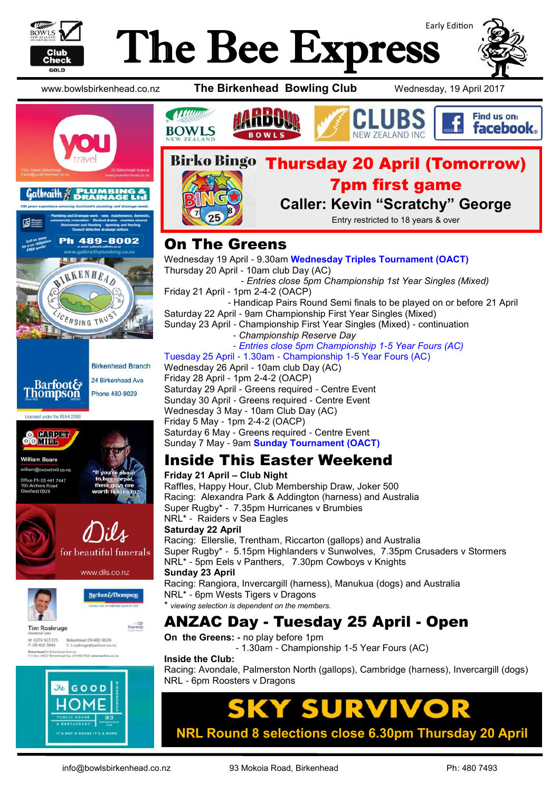

# Early Edition The Bee Express



www.bowlsbirkenhead.co.nz **The Birkenhead Bowling Club** Wednesday, 19 April 2017







### On The Greens

Wednesday 19 April - 9.30am **Wednesday Triples Tournament (OACT)** Thursday 20 April - 10am club Day (AC) - *Entries close 5pm Championship 1st Year Singles (Mixed)* Friday 21 April - 1pm 2-4-2 (OACP) - Handicap Pairs Round Semi finals to be played on or before 21 April Saturday 22 April - 9am Championship First Year Singles (Mixed) Sunday 23 April - Championship First Year Singles (Mixed) - continuation - *Championship Reserve Day* - *Entries close 5pm Championship 1-5 Year Fours (AC)* Tuesday 25 April - 1.30am - Championship 1-5 Year Fours (AC)

Wednesday 26 April - 10am club Day (AC) Friday 28 April - 1pm 2-4-2 (OACP) Saturday 29 April - Greens required - Centre Event Sunday 30 April - Greens required - Centre Event Wednesday 3 May - 10am Club Day (AC) Friday 5 May - 1pm 2-4-2 (OACP) Saturday 6 May - Greens required - Centre Event Sunday 7 May - 9am **Sunday Tournament (OACT)**

### Inside This Easter Weekend

**Friday 21 April – Club Night** Raffles, Happy Hour, Club Membership Draw, Joker 500 Racing: Alexandra Park & Addington (harness) and Australia Super Rugby\* - 7.35pm Hurricanes v Brumbies NRL\* - Raiders v Sea Eagles **Saturday 22 April** Racing: Ellerslie, Trentham, Riccarton (gallops) and Australia Super Rugby\* - 5.15pm Highlanders v Sunwolves, 7.35pm Crusaders v Stormers NRL\* - 5pm Eels v Panthers, 7.30pm Cowboys v Knights **Sunday 23 April** Racing: Rangiora, Invercargill (harness), Manukua (dogs) and Australia NRL\* - 6pm Wests Tigers v Dragons viewing selection is dependent on the members. ANZAC Day - Tuesday 25 April - Open

**On the Greens: -** no play before 1pm

- 1.30am - Championship 1-5 Year Fours (AC)

#### **Inside the Club:**

Racing: Avondale, Palmerston North (gallops), Cambridge (harness), Invercargill (dogs) NRL - 6pm Roosters v Dragons

## UR **NRL Round 8 selections close 6.30pm Thursday 20 April**